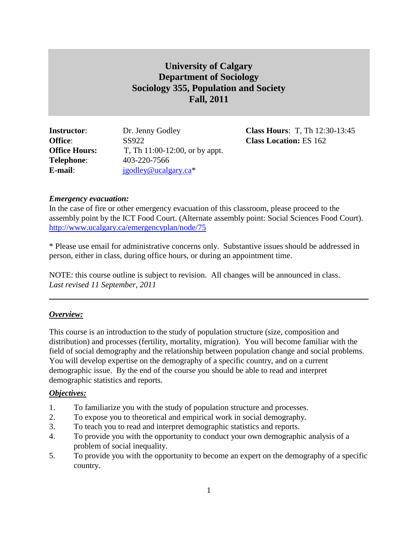# **University of Calgary Department of Sociology Sociology 355, Population and Society Fall, 2011**

| <b>Instructor:</b>   | Dr. Jenny Godley               |
|----------------------|--------------------------------|
| <b>Office:</b>       | SS922                          |
| <b>Office Hours:</b> | T, Th 11:00-12:00, or by appt. |
| <b>Telephone:</b>    | 403-220-7566                   |
| E-mail:              | igodley@ucalgary.ca*           |

**Class Hours**: T, Th 12:30-13:45 **Class Location: ES 162** 

# *Emergency evacuation:*

In the case of fire or other emergency evacuation of this classroom, please proceed to the assembly point by the ICT Food Court. (Alternate assembly point: Social Sciences Food Court). <http://www.ucalgary.ca/emergencyplan/node/75>

\* Please use email for administrative concerns only. Substantive issues should be addressed in person, either in class, during office hours, or during an appointment time.

NOTE: this course outline is subject to revision. All changes will be announced in class. *Last revised 11 September, 2011*

# *Overview:*

This course is an introduction to the study of population structure (size, composition and distribution) and processes (fertility, mortality, migration). You will become familiar with the field of social demography and the relationship between population change and social problems. You will develop expertise on the demography of a specific country, and on a current demographic issue. By the end of the course you should be able to read and interpret demographic statistics and reports.

### *Objectives:*

- 1. To familiarize you with the study of population structure and processes.
- 2. To expose you to theoretical and empirical work in social demography.
- 3. To teach you to read and interpret demographic statistics and reports.
- 4. To provide you with the opportunity to conduct your own demographic analysis of a problem of social inequality.
- 5. To provide you with the opportunity to become an expert on the demography of a specific country.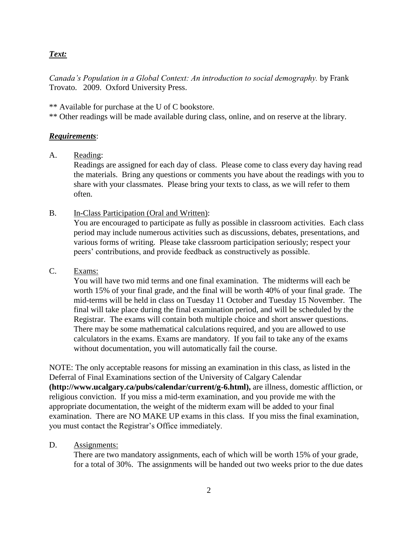# *Text:*

*Canada's Population in a Global Context: An introduction to social demography.* by Frank Trovato. 2009. Oxford University Press.

\*\* Available for purchase at the U of C bookstore.

\*\* Other readings will be made available during class, online, and on reserve at the library.

### *Requirements*:

A. Reading:

Readings are assigned for each day of class. Please come to class every day having read the materials. Bring any questions or comments you have about the readings with you to share with your classmates. Please bring your texts to class, as we will refer to them often.

B. In-Class Participation (Oral and Written):

You are encouraged to participate as fully as possible in classroom activities. Each class period may include numerous activities such as discussions, debates, presentations, and various forms of writing. Please take classroom participation seriously; respect your peers' contributions, and provide feedback as constructively as possible.

#### C. Exams:

You will have two mid terms and one final examination. The midterms will each be worth 15% of your final grade, and the final will be worth 40% of your final grade. The mid-terms will be held in class on Tuesday 11 October and Tuesday 15 November. The final will take place during the final examination period, and will be scheduled by the Registrar. The exams will contain both multiple choice and short answer questions. There may be some mathematical calculations required, and you are allowed to use calculators in the exams. Exams are mandatory. If you fail to take any of the exams without documentation, you will automatically fail the course.

NOTE: The only acceptable reasons for missing an examination in this class, as listed in the Deferral of Final Examinations section of the University of Calgary Calendar **(http://www.ucalgary.ca/pubs/calendar/current/g-6.html),** are illness, domestic affliction, or religious conviction. If you miss a mid-term examination, and you provide me with the appropriate documentation, the weight of the midterm exam will be added to your final examination. There are NO MAKE UP exams in this class. If you miss the final examination, you must contact the Registrar's Office immediately.

#### D. Assignments:

There are two mandatory assignments, each of which will be worth 15% of your grade, for a total of 30%. The assignments will be handed out two weeks prior to the due dates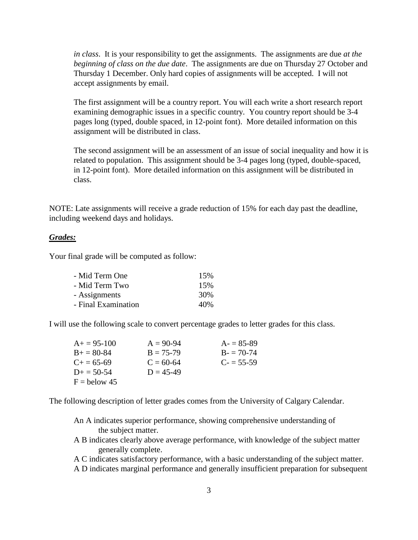*in class*. It is your responsibility to get the assignments. The assignments are due *at the beginning of class on the due date*. The assignments are due on Thursday 27 October and Thursday 1 December. Only hard copies of assignments will be accepted. I will not accept assignments by email.

The first assignment will be a country report. You will each write a short research report examining demographic issues in a specific country. You country report should be 3-4 pages long (typed, double spaced, in 12-point font). More detailed information on this assignment will be distributed in class.

The second assignment will be an assessment of an issue of social inequality and how it is related to population. This assignment should be 3-4 pages long (typed, double-spaced, in 12-point font). More detailed information on this assignment will be distributed in class.

NOTE: Late assignments will receive a grade reduction of 15% for each day past the deadline, including weekend days and holidays.

### *Grades:*

Your final grade will be computed as follow:

| 15% |
|-----|
| 15% |
| 30% |
| 40% |
|     |

I will use the following scale to convert percentage grades to letter grades for this class.

| $A+=95-100$         | $A = 90-94$ | $A = 85-89$ |
|---------------------|-------------|-------------|
| $B_{+} = 80 - 84$   | $B = 75-79$ | $B = 70-74$ |
| $C_{\pm} = 65 - 69$ | $C = 60-64$ | $C = 55-59$ |
| $D_{\pm} = 50 - 54$ | $D = 45-49$ |             |
| $F =$ below 45      |             |             |

The following description of letter grades comes from the University of Calgary Calendar.

- An A indicates superior performance, showing comprehensive understanding of the subject matter.
- A B indicates clearly above average performance, with knowledge of the subject matter generally complete.
- A C indicates satisfactory performance, with a basic understanding of the subject matter.
- A D indicates marginal performance and generally insufficient preparation for subsequent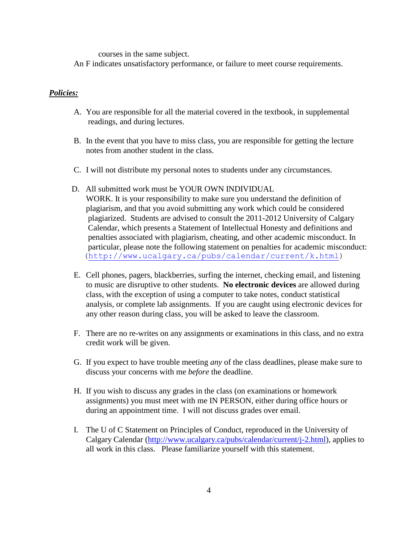courses in the same subject.

An F indicates unsatisfactory performance, or failure to meet course requirements.

#### *Policies:*

- A. You are responsible for all the material covered in the textbook, in supplemental readings, and during lectures.
- B. In the event that you have to miss class, you are responsible for getting the lecture notes from another student in the class.
- C. I will not distribute my personal notes to students under any circumstances.
- D. All submitted work must be YOUR OWN INDIVIDUAL WORK. It is your responsibility to make sure you understand the definition of plagiarism, and that you avoid submitting any work which could be considered plagiarized. Students are advised to consult the 2011-2012 University of Calgary Calendar, which presents a Statement of Intellectual Honesty and definitions and penalties associated with plagiarism, cheating, and other academic misconduct. In particular, please note the following statement on penalties for academic misconduct: [\(http://www.ucalgary.ca/pubs/calendar/current/k.html\)](http://www.ucalgary.ca/pubs/calendar/current/k.html)
- E. Cell phones, pagers, blackberries, surfing the internet, checking email, and listening to music are disruptive to other students. **No electronic devices** are allowed during class, with the exception of using a computer to take notes, conduct statistical analysis, or complete lab assignments. If you are caught using electronic devices for any other reason during class, you will be asked to leave the classroom.
- F. There are no re-writes on any assignments or examinations in this class, and no extra credit work will be given.
- G. If you expect to have trouble meeting *any* of the class deadlines, please make sure to discuss your concerns with me *before* the deadline.
- H. If you wish to discuss any grades in the class (on examinations or homework assignments) you must meet with me IN PERSON, either during office hours or during an appointment time. I will not discuss grades over email.
- I. The U of C Statement on Principles of Conduct, reproduced in the University of Calgary Calendar [\(http://www.ucalgary.ca/pubs/calendar/current/j-2.html\)](http://www.ucalgary.ca/pubs/calendar/current/j-2.html), applies to all work in this class. Please familiarize yourself with this statement.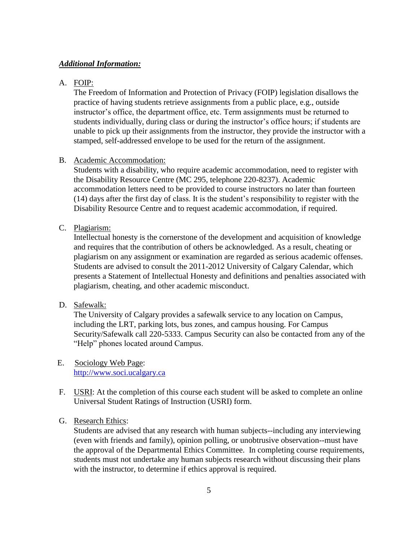#### *Additional Information:*

# A. FOIP:

The Freedom of Information and Protection of Privacy (FOIP) legislation disallows the practice of having students retrieve assignments from a public place, e.g., outside instructor's office, the department office, etc. Term assignments must be returned to students individually, during class or during the instructor's office hours; if students are unable to pick up their assignments from the instructor, they provide the instructor with a stamped, self-addressed envelope to be used for the return of the assignment.

#### B. Academic Accommodation:

Students with a disability, who require academic accommodation, need to register with the Disability Resource Centre (MC 295, telephone 220-8237). Academic accommodation letters need to be provided to course instructors no later than fourteen (14) days after the first day of class. It is the student's responsibility to register with the Disability Resource Centre and to request academic accommodation, if required.

#### C. Plagiarism:

Intellectual honesty is the cornerstone of the development and acquisition of knowledge and requires that the contribution of others be acknowledged. As a result, cheating or plagiarism on any assignment or examination are regarded as serious academic offenses. Students are advised to consult the 2011-2012 University of Calgary Calendar, which presents a Statement of Intellectual Honesty and definitions and penalties associated with plagiarism, cheating, and other academic misconduct.

# D. Safewalk:

The University of Calgary provides a safewalk service to any location on Campus, including the LRT, parking lots, bus zones, and campus housing. For Campus Security/Safewalk call 220-5333. Campus Security can also be contacted from any of the "Help" phones located around Campus.

- E. Sociology Web Page: [http://www.soci.ucalgary.ca](http://www.soci.ucalgary.ca/)
- F. USRI: At the completion of this course each student will be asked to complete an online Universal Student Ratings of Instruction (USRI) form.

### G. Research Ethics:

Students are advised that any research with human subjects--including any interviewing (even with friends and family), opinion polling, or unobtrusive observation--must have the approval of the Departmental Ethics Committee. In completing course requirements, students must not undertake any human subjects research without discussing their plans with the instructor, to determine if ethics approval is required.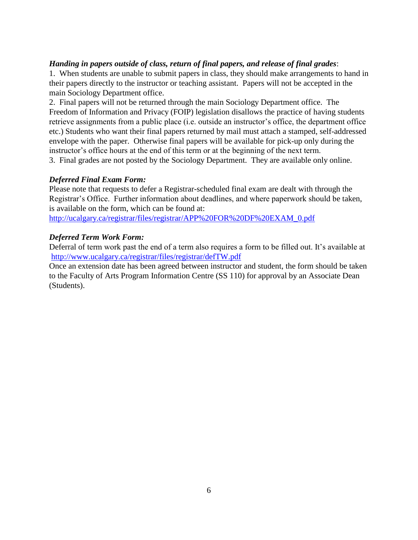# *Handing in papers outside of class, return of final papers, and release of final grades*:

1. When students are unable to submit papers in class, they should make arrangements to hand in their papers directly to the instructor or teaching assistant. Papers will not be accepted in the main Sociology Department office.

2. Final papers will not be returned through the main Sociology Department office. The Freedom of Information and Privacy (FOIP) legislation disallows the practice of having students retrieve assignments from a public place (i.e. outside an instructor's office, the department office etc.) Students who want their final papers returned by mail must attach a stamped, self-addressed envelope with the paper. Otherwise final papers will be available for pick-up only during the instructor's office hours at the end of this term or at the beginning of the next term.

3. Final grades are not posted by the Sociology Department. They are available only online.

# *Deferred Final Exam Form:*

Please note that requests to defer a Registrar-scheduled final exam are dealt with through the Registrar's Office. Further information about deadlines, and where paperwork should be taken, is available on the form, which can be found at:

[http://ucalgary.ca/registrar/files/registrar/APP%20FOR%20DF%20EXAM\\_0.pdf](http://ucalgary.ca/registrar/files/registrar/APP%20FOR%20DF%20EXAM_0.pdf)

# *Deferred Term Work Form:*

Deferral of term work past the end of a term also requires a form to be filled out. It's available at <http://www.ucalgary.ca/registrar/files/registrar/defTW.pdf>

Once an extension date has been agreed between instructor and student, the form should be taken to the Faculty of Arts Program Information Centre (SS 110) for approval by an Associate Dean (Students).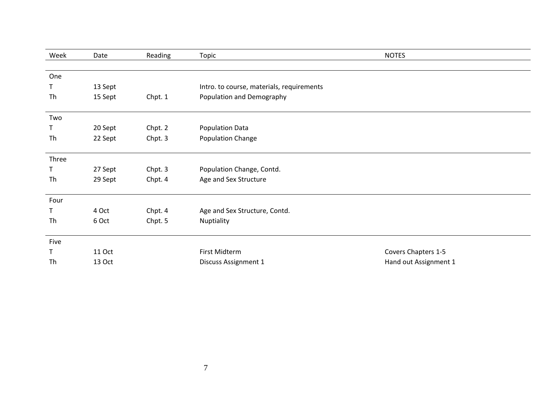| Week  | Date          | Reading | Topic                                     | <b>NOTES</b>          |
|-------|---------------|---------|-------------------------------------------|-----------------------|
|       |               |         |                                           |                       |
| One   |               |         |                                           |                       |
| Τ     | 13 Sept       |         | Intro. to course, materials, requirements |                       |
| Th    | 15 Sept       | Chpt. 1 | Population and Demography                 |                       |
|       |               |         |                                           |                       |
| Two   |               |         |                                           |                       |
| Τ     | 20 Sept       | Chpt. 2 | <b>Population Data</b>                    |                       |
| Th    | 22 Sept       | Chpt. 3 | Population Change                         |                       |
|       |               |         |                                           |                       |
| Three |               |         |                                           |                       |
| T     | 27 Sept       | Chpt. 3 | Population Change, Contd.                 |                       |
| Th    | 29 Sept       | Chpt. 4 | Age and Sex Structure                     |                       |
| Four  |               |         |                                           |                       |
| Т     | 4 Oct         | Chpt. 4 | Age and Sex Structure, Contd.             |                       |
| Th    | 6 Oct         | Chpt. 5 | Nuptiality                                |                       |
|       |               |         |                                           |                       |
| Five  |               |         |                                           |                       |
| T     | <b>11 Oct</b> |         | First Midterm                             | Covers Chapters 1-5   |
| Th    | 13 Oct        |         | Discuss Assignment 1                      | Hand out Assignment 1 |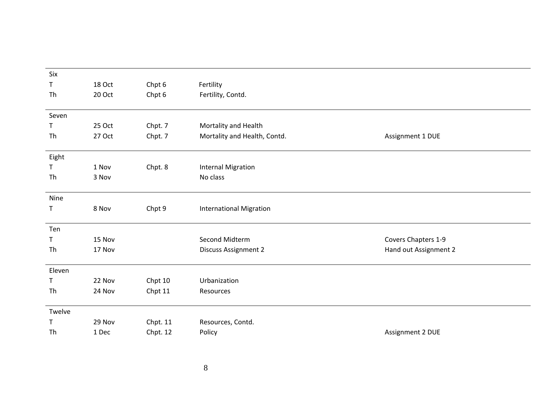| Six    |        |          |                                |                       |
|--------|--------|----------|--------------------------------|-----------------------|
| Τ      | 18 Oct | Chpt 6   | Fertility                      |                       |
| Th     | 20 Oct | Chpt 6   | Fertility, Contd.              |                       |
|        |        |          |                                |                       |
| Seven  |        |          |                                |                       |
| Τ      | 25 Oct | Chpt. 7  | Mortality and Health           |                       |
| Th     | 27 Oct | Chpt. 7  | Mortality and Health, Contd.   | Assignment 1 DUE      |
|        |        |          |                                |                       |
| Eight  |        |          |                                |                       |
| Τ      | 1 Nov  | Chpt. 8  | <b>Internal Migration</b>      |                       |
| Th     | 3 Nov  |          | No class                       |                       |
|        |        |          |                                |                       |
| Nine   |        |          |                                |                       |
| Τ      | 8 Nov  | Chpt 9   | <b>International Migration</b> |                       |
|        |        |          |                                |                       |
| Ten    |        |          |                                |                       |
| Τ      | 15 Nov |          | Second Midterm                 | Covers Chapters 1-9   |
| Th     | 17 Nov |          | <b>Discuss Assignment 2</b>    | Hand out Assignment 2 |
|        |        |          |                                |                       |
| Eleven |        |          |                                |                       |
| Τ      | 22 Nov | Chpt 10  | Urbanization                   |                       |
| Th     | 24 Nov | Chpt 11  | Resources                      |                       |
|        |        |          |                                |                       |
| Twelve |        |          |                                |                       |
| Τ      | 29 Nov | Chpt. 11 | Resources, Contd.              |                       |
| Th     | 1 Dec  | Chpt. 12 | Policy                         | Assignment 2 DUE      |
|        |        |          |                                |                       |